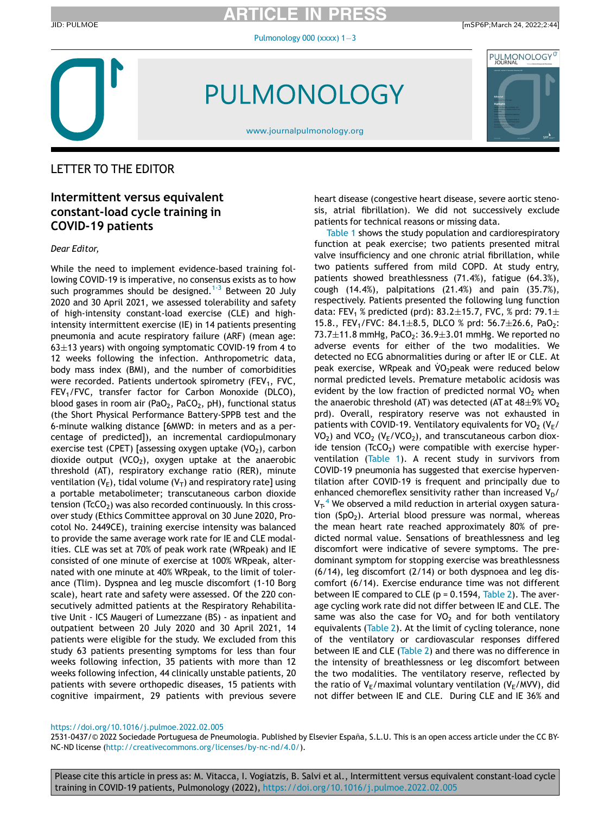ARTICLE IN PRESS

Pulmonology  $000$  (xxxx)  $1-3$  $1-3$ 

JID: PULMOE [mSP6P;March 24, 2022;2:44]



PULMONOLOGY

[www.journalpulmonology.org](http://www.journalpulmonology.org)



## LETTER TO THE EDITOR

## Intermittent versus equivalent constant-load cycle training in COVID-19 patients

Dear Editor,

While the need to implement evidence-based training following COVID-19 is imperative, no consensus exists as to how such programmes should be designed.<sup>[1-3](#page-2-0)</sup> Between 20 July 2020 and 30 April 2021, we assessed tolerability and safety of high-intensity constant-load exercise (CLE) and highintensity intermittent exercise (IE) in 14 patients presenting pneumonia and acute respiratory failure (ARF) (mean age: 63 $\pm$ 13 years) with ongoing symptomatic COVID-19 from 4 to 12 weeks following the infection. Anthropometric data, body mass index (BMI), and the number of comorbidities were recorded. Patients undertook spirometry (FEV<sub>1</sub>, FVC,  $FEV<sub>1</sub>/FVC$ , transfer factor for Carbon Monoxide (DLCO), blood gases in room air (PaO<sub>2</sub>, PaCO<sub>2</sub>, pH), functional status (the Short Physical Performance Battery-SPPB test and the 6-minute walking distance [6MWD: in meters and as a percentage of predicted]), an incremental cardiopulmonary exercise test (CPET) [assessing oxygen uptake  $(VO<sub>2</sub>)$ , carbon dioxide output (VCO<sub>2</sub>), oxygen uptake at the anaerobic threshold (AT), respiratory exchange ratio (RER), minute ventilation  $(V_F)$ , tidal volume  $(V_T)$  and respiratory rate] using a portable metabolimeter; transcutaneous carbon dioxide tension ( $TcCO<sub>2</sub>$ ) was also recorded continuously. In this crossover study (Ethics Committee approval on 30 June 2020, Procotol No. 2449CE), training exercise intensity was balanced to provide the same average work rate for IE and CLE modalities. CLE was set at 70% of peak work rate (WRpeak) and IE consisted of one minute of exercise at 100% WRpeak, alternated with one minute at 40% WRpeak, to the limit of tolerance (Tlim). Dyspnea and leg muscle discomfort (1-10 Borg scale), heart rate and safety were assessed. Of the 220 consecutively admitted patients at the Respiratory Rehabilitative Unit - ICS Maugeri of Lumezzane (BS) - as inpatient and outpatient between 20 July 2020 and 30 April 2021, 14 patients were eligible for the study. We excluded from this study 63 patients presenting symptoms for less than four weeks following infection, 35 patients with more than 12 weeks following infection, 44 clinically unstable patients, 20 patients with severe orthopedic diseases, 15 patients with cognitive impairment, 29 patients with previous severe heart disease (congestive heart disease, severe aortic stenosis, atrial fibrillation). We did not successively exclude patients for technical reasons or missing data.

[Table 1](#page-1-0) shows the study population and cardiorespiratory function at peak exercise; two patients presented mitral valve insufficiency and one chronic atrial fibrillation, while two patients suffered from mild COPD. At study entry, patients showed breathlessness (71.4%), fatigue (64.3%), cough (14.4%), palpitations (21.4%) and pain (35.7%), respectively. Patients presented the following lung function data: FEV<sub>1</sub> % predicted (prd): 83.2 $\pm$ 15.7, FVC, % prd: 79.1 $\pm$ 15.8., FEV<sub>1</sub>/FVC: 84.1 $\pm$ 8.5, DLCO % prd: 56.7 $\pm$ 26.6, PaO<sub>2</sub>: 73.7 $\pm$ 11.8 mmHg, PaCO<sub>2</sub>: 36.9 $\pm$ 3.01 mmHg. We reported no adverse events for either of the two modalities. We detected no ECG abnormalities during or after IE or CLE. At peak exercise, WRpeak and VO<sub>2</sub>peak were reduced below normal predicted levels. Premature metabolic acidosis was evident by the low fraction of predicted normal  $VO<sub>2</sub>$  when the anaerobic threshold (AT) was detected (AT at  $48\pm9\%$  VO<sub>2</sub> prd). Overall, respiratory reserve was not exhausted in patients with COVID-19. Ventilatory equivalents for VO<sub>2</sub> ( $V_{E}$ /  $VO<sub>2</sub>$ ) and  $VCO<sub>2</sub>$  (V<sub>F</sub>/VCO<sub>2</sub>), and transcutaneous carbon dioxide tension ( $T<sub>c</sub>CO<sub>2</sub>$ ) were compatible with exercise hyperventilation ([Table 1\)](#page-1-0). A recent study in survivors from COVID-19 pneumonia has suggested that exercise hyperventilation after COVID-19 is frequent and principally due to enhanced chemoreflex sensitivity rather than increased  $V_D/$  $V_T$ .<sup>[4](#page-2-1)</sup> We observed a mild reduction in arterial oxygen saturation  $(SpO<sub>2</sub>)$ . Arterial blood pressure was normal, whereas the mean heart rate reached approximately 80% of predicted normal value. Sensations of breathlessness and leg discomfort were indicative of severe symptoms. The predominant symptom for stopping exercise was breathlessness (6/14), leg discomfort (2/14) or both dyspnoea and leg discomfort (6/14). Exercise endurance time was not different between IE compared to CLE ( $p = 0.1594$ , [Table 2](#page-2-2)). The average cycling work rate did not differ between IE and CLE. The same was also the case for  $VO<sub>2</sub>$  and for both ventilatory equivalents ([Table 2](#page-2-2)). At the limit of cycling tolerance, none of the ventilatory or cardiovascular responses differed between IE and CLE [\(Table 2\)](#page-2-2) and there was no difference in the intensity of breathlessness or leg discomfort between the two modalities. The ventilatory reserve, reflected by the ratio of  $V_E/max$ imal voluntary ventilation ( $V_E/MVV$ ), did not differ between IE and CLE. During CLE and IE 36% and

#### <https://doi.org/10.1016/j.pulmoe.2022.02.005>

2531-0437/© 2022 Sociedade Portuguesa de Pneumologia. Published by Elsevier España, S.L.U. This is an open access article under the CC BY-NC-ND license [\(http://creativecommons.org/licenses/by-nc-nd/4.0/](http://creativecommons.org/licenses/by-nc-nd/4.0/)).

Please cite this article in press as: M. Vitacca, I. Vogiatzis, B. Salvi et al., Intermittent versus equivalent constant-load cycle training in COVID-19 patients, Pulmonology (2022), <https://doi.org/10.1016/j.pulmoe.2022.02.005>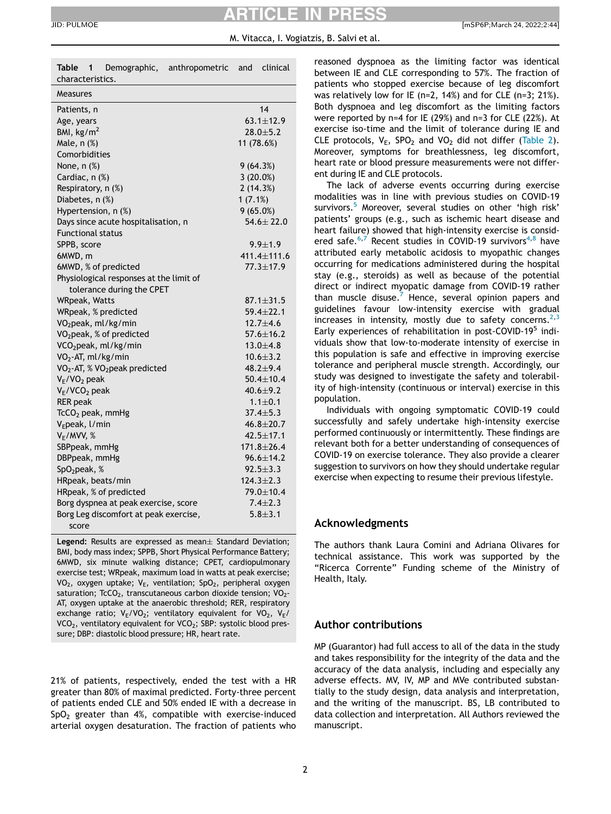## ARTICLE IN PRESS

#### M. Vitacca, I. Vogiatzis, B. Salvi et al.

| JID: PULMOE | [mSP6P:March 24, 2022:2:44]<br>. |
|-------------|----------------------------------|
|-------------|----------------------------------|

<span id="page-1-0"></span>

| Demographic, anthropometric<br>Table<br>1<br>characteristics. | clinical<br>and  |  |
|---------------------------------------------------------------|------------------|--|
| <b>Measures</b>                                               |                  |  |
| Patients, n                                                   | 14               |  |
| Age, years                                                    | $63.1 \pm 12.9$  |  |
| BMI, $\text{kg/m}^2$                                          | $28.0 + 5.2$     |  |
| Male, n (%)                                                   | 11 (78.6%)       |  |
| Comorbidities                                                 |                  |  |
| None, n (%)                                                   | 9(64.3%)         |  |
| Cardiac, n (%)                                                | 3(20.0%)         |  |
| Respiratory, n (%)                                            | 2(14.3%)         |  |
| Diabetes, n (%)                                               | 1(7.1%)          |  |
| Hypertension, n (%)                                           | 9(65.0%)         |  |
| Days since acute hospitalisation, n                           | $54.6 \pm 22.0$  |  |
| <b>Functional status</b>                                      |                  |  |
| SPPB, score                                                   | $9.9 \pm 1.9$    |  |
| 6MWD, m                                                       | 411.4±111.6      |  |
| 6MWD, % of predicted                                          | $77.3 \pm 17.9$  |  |
| Physiological responses at the limit of                       |                  |  |
| tolerance during the CPET                                     |                  |  |
| WRpeak, Watts                                                 | $87.1 \pm 31.5$  |  |
| WRpeak, % predicted                                           | $59.4 \pm 22.1$  |  |
| VO <sub>2</sub> peak, ml/kg/min                               | $12.7 + 4.6$     |  |
| VO <sub>2</sub> peak, % of predicted                          | $57.6 \pm 16.2$  |  |
| VCO <sub>2</sub> peak, ml/kg/min                              | $13.0 + 4.8$     |  |
| VO <sub>2</sub> -AT, ml/kg/min                                | $10.6 + 3.2$     |  |
| VO <sub>2</sub> -AT, % VO <sub>2</sub> peak predicted         | $48.2 + 9.4$     |  |
| $V_E/VO_2$ peak                                               | $50.4 + 10.4$    |  |
| $V_F/VCO2$ peak                                               | $40.6 + 9.2$     |  |
| <b>RER</b> peak                                               | $1.1 \pm 0.1$    |  |
| $TcCO2$ peak, mmHg                                            | $37.4 \pm 5.3$   |  |
| V <sub>E</sub> peak, l/min                                    | $46.8 \pm 20.7$  |  |
| $V_E/MVV$ , %                                                 | $42.5 \pm 17.1$  |  |
| SBPpeak, mmHg                                                 | $171.8 \pm 26.4$ |  |
| DBPpeak, mmHg                                                 | $96.6 \pm 14.2$  |  |
| SpO <sub>2</sub> peak, %                                      | $92.5 + 3.3$     |  |
| HRpeak, beats/min                                             | $124.3 \pm 2.3$  |  |
| HRpeak, % of predicted                                        | 79.0±10.4        |  |
| Borg dyspnea at peak exercise, score                          | $7.4 \pm 2.3$    |  |
| Borg Leg discomfort at peak exercise,                         | $5.8 + 3.1$      |  |
| score                                                         |                  |  |

Legend: Results are expressed as mean $\pm$  Standard Deviation; BMI, body mass index; SPPB, Short Physical Performance Battery; 6MWD, six minute walking distance; CPET, cardiopulmonary exercise test; WRpeak, maximum load in watts at peak exercise; VO<sub>2</sub>, oxygen uptake;  $V_E$ , ventilation; SpO<sub>2</sub>, peripheral oxygen saturation; TcCO<sub>2</sub>, transcutaneous carbon dioxide tension;  $VO<sub>2</sub>$ -AT, oxygen uptake at the anaerobic threshold; RER, respiratory exchange ratio;  $V_E/VO_2$ ; ventilatory equivalent for  $VO_2$ ,  $V_E/V$  $VCO<sub>2</sub>$ , ventilatory equivalent for  $VCO<sub>2</sub>$ ; SBP: systolic blood pressure; DBP: diastolic blood pressure; HR, heart rate.

21% of patients, respectively, ended the test with a HR greater than 80% of maximal predicted. Forty-three percent of patients ended CLE and 50% ended IE with a decrease in  $SpO<sub>2</sub>$  greater than 4%, compatible with exercise-induced arterial oxygen desaturation. The fraction of patients who reasoned dyspnoea as the limiting factor was identical between IE and CLE corresponding to 57%. The fraction of patients who stopped exercise because of leg discomfort was relatively low for IE (n=2, 14%) and for CLE (n=3; 21%). Both dyspnoea and leg discomfort as the limiting factors were reported by n=4 for IE (29%) and n=3 for CLE (22%). At exercise iso-time and the limit of tolerance during IE and CLE protocols,  $V_F$ , SPO<sub>2</sub> and VO<sub>2</sub> did not differ [\(Table 2](#page-2-2)). Moreover, symptoms for breathlessness, leg discomfort, heart rate or blood pressure measurements were not different during IE and CLE protocols.

The lack of adverse events occurring during exercise modalities was in line with previous studies on COVID-19 survivors.<sup>[5](#page-2-3)</sup> Moreover, several studies on other 'high risk' patients' groups (e.g., such as ischemic heart disease and heart failure) showed that high-intensity exercise is consid-ered safe.<sup>6[,7](#page-2-5)</sup> Recent studies in COVID-19 survivors<sup>4[,8](#page-2-6)</sup> have attributed early metabolic acidosis to myopathic changes occurring for medications administered during the hospital stay (e.g., steroids) as well as because of the potential direct or indirect myopatic damage from COVID-19 rather than muscle disuse. $7$  Hence, several opinion papers and guidelines favour low-intensity exercise with gradual increases in intensity, mostly due to safety concerns.<sup>2,[3](#page-2-8)</sup> Early experiences of rehabilitation in post-COVID-19<sup>5</sup> individuals show that low-to-moderate intensity of exercise in this population is safe and effective in improving exercise tolerance and peripheral muscle strength. Accordingly, our study was designed to investigate the safety and tolerability of high-intensity (continuous or interval) exercise in this population.

Individuals with ongoing symptomatic COVID-19 could successfully and safely undertake high-intensity exercise performed continuously or intermittently. These findings are relevant both for a better understanding of consequences of COVID-19 on exercise tolerance. They also provide a clearer suggestion to survivors on how they should undertake regular exercise when expecting to resume their previous lifestyle.

#### Acknowledgments

The authors thank Laura Comini and Adriana Olivares for technical assistance. This work was supported by the "Ricerca Corrente" Funding scheme of the Ministry of Health, Italy.

### Author contributions

MP (Guarantor) had full access to all of the data in the study and takes responsibility for the integrity of the data and the accuracy of the data analysis, including and especially any adverse effects. MV, IV, MP and MVe contributed substantially to the study design, data analysis and interpretation, and the writing of the manuscript. BS, LB contributed to data collection and interpretation. All Authors reviewed the manuscript.